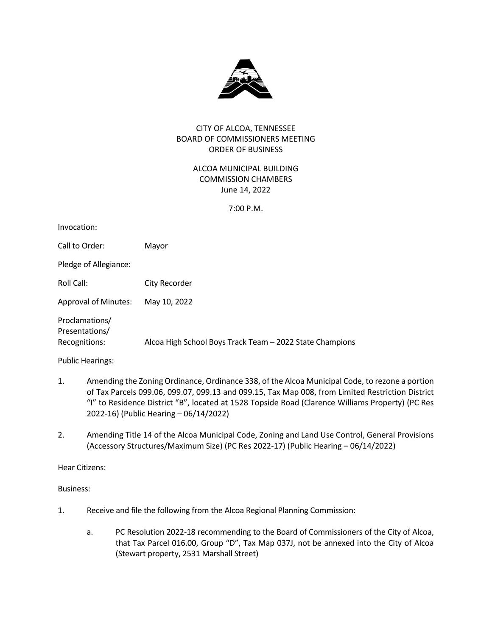

# CITY OF ALCOA, TENNESSEE BOARD OF COMMISSIONERS MEETING ORDER OF BUSINESS

ALCOA MUNICIPAL BUILDING COMMISSION CHAMBERS June 14, 2022

7:00 P.M.

| Invocation:                      |                                                          |
|----------------------------------|----------------------------------------------------------|
| Call to Order:                   | Mayor                                                    |
| Pledge of Allegiance:            |                                                          |
| Roll Call:                       | City Recorder                                            |
| <b>Approval of Minutes:</b>      | May 10, 2022                                             |
| Proclamations/<br>Presentations/ |                                                          |
| Recognitions:                    | Alcoa High School Boys Track Team - 2022 State Champions |
|                                  |                                                          |

Public Hearings:

- 1. Amending the Zoning Ordinance, Ordinance 338, of the Alcoa Municipal Code, to rezone a portion of Tax Parcels 099.06, 099.07, 099.13 and 099.15, Tax Map 008, from Limited Restriction District "I" to Residence District "B", located at 1528 Topside Road (Clarence Williams Property) (PC Res 2022-16) (Public Hearing – 06/14/2022)
- 2. Amending Title 14 of the Alcoa Municipal Code, Zoning and Land Use Control, General Provisions (Accessory Structures/Maximum Size) (PC Res 2022-17) (Public Hearing – 06/14/2022)

Hear Citizens:

Business:

- 1. Receive and file the following from the Alcoa Regional Planning Commission:
	- a. PC Resolution 2022-18 recommending to the Board of Commissioners of the City of Alcoa, that Tax Parcel 016.00, Group "D", Tax Map 037J, not be annexed into the City of Alcoa (Stewart property, 2531 Marshall Street)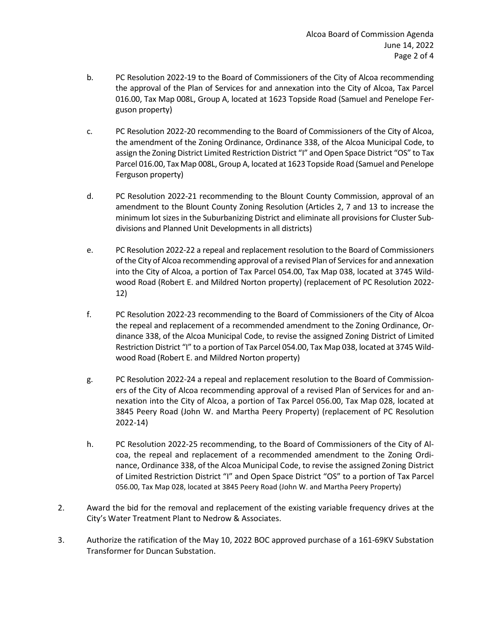- b. PC Resolution 2022-19 to the Board of Commissioners of the City of Alcoa recommending the approval of the Plan of Services for and annexation into the City of Alcoa, Tax Parcel 016.00, Tax Map 008L, Group A, located at 1623 Topside Road (Samuel and Penelope Ferguson property)
- c. PC Resolution 2022-20 recommending to the Board of Commissioners of the City of Alcoa, the amendment of the Zoning Ordinance, Ordinance 338, of the Alcoa Municipal Code, to assign the Zoning District Limited Restriction District "I" and Open Space District "OS" to Tax Parcel 016.00, Tax Map 008L, Group A, located at 1623 Topside Road (Samuel and Penelope Ferguson property)
- d. PC Resolution 2022-21 recommending to the Blount County Commission, approval of an amendment to the Blount County Zoning Resolution (Articles 2, 7 and 13 to increase the minimum lot sizes in the Suburbanizing District and eliminate all provisions for Cluster Subdivisions and Planned Unit Developments in all districts)
- e. PC Resolution 2022-22 a repeal and replacement resolution to the Board of Commissioners of the City of Alcoa recommending approval of a revised Plan of Services for and annexation into the City of Alcoa, a portion of Tax Parcel 054.00, Tax Map 038, located at 3745 Wildwood Road (Robert E. and Mildred Norton property) (replacement of PC Resolution 2022- 12)
- f. PC Resolution 2022-23 recommending to the Board of Commissioners of the City of Alcoa the repeal and replacement of a recommended amendment to the Zoning Ordinance, Ordinance 338, of the Alcoa Municipal Code, to revise the assigned Zoning District of Limited Restriction District "I" to a portion of Tax Parcel 054.00, Tax Map 038, located at 3745 Wildwood Road (Robert E. and Mildred Norton property)
- g. PC Resolution 2022-24 a repeal and replacement resolution to the Board of Commissioners of the City of Alcoa recommending approval of a revised Plan of Services for and annexation into the City of Alcoa, a portion of Tax Parcel 056.00, Tax Map 028, located at 3845 Peery Road (John W. and Martha Peery Property) (replacement of PC Resolution 2022-14)
- h. PC Resolution 2022-25 recommending, to the Board of Commissioners of the City of Alcoa, the repeal and replacement of a recommended amendment to the Zoning Ordinance, Ordinance 338, of the Alcoa Municipal Code, to revise the assigned Zoning District of Limited Restriction District "I" and Open Space District "OS" to a portion of Tax Parcel 056.00, Tax Map 028, located at 3845 Peery Road (John W. and Martha Peery Property)
- 2. Award the bid for the removal and replacement of the existing variable frequency drives at the City's Water Treatment Plant to Nedrow & Associates.
- 3. Authorize the ratification of the May 10, 2022 BOC approved purchase of a 161-69KV Substation Transformer for Duncan Substation.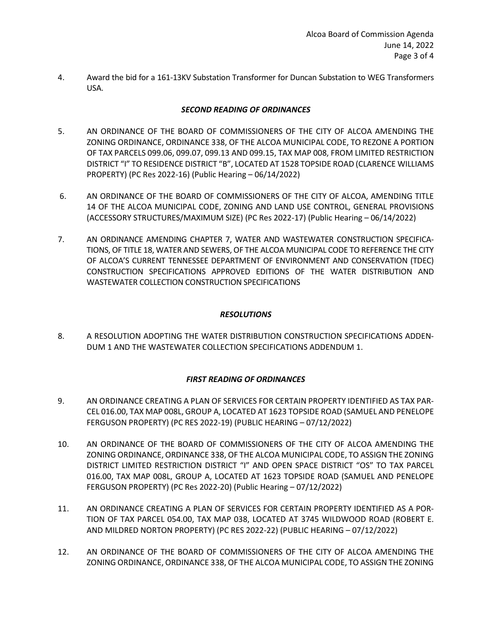4. Award the bid for a 161-13KV Substation Transformer for Duncan Substation to WEG Transformers USA.

# *SECOND READING OF ORDINANCES*

- 5. AN ORDINANCE OF THE BOARD OF COMMISSIONERS OF THE CITY OF ALCOA AMENDING THE ZONING ORDINANCE, ORDINANCE 338, OF THE ALCOA MUNICIPAL CODE, TO REZONE A PORTION OF TAX PARCELS 099.06, 099.07, 099.13 AND 099.15, TAX MAP 008, FROM LIMITED RESTRICTION DISTRICT "I" TO RESIDENCE DISTRICT "B", LOCATED AT 1528 TOPSIDE ROAD (CLARENCE WILLIAMS PROPERTY) (PC Res 2022-16) (Public Hearing – 06/14/2022)
- 6. AN ORDINANCE OF THE BOARD OF COMMISSIONERS OF THE CITY OF ALCOA, AMENDING TITLE 14 OF THE ALCOA MUNICIPAL CODE, ZONING AND LAND USE CONTROL, GENERAL PROVISIONS (ACCESSORY STRUCTURES/MAXIMUM SIZE) (PC Res 2022-17) (Public Hearing – 06/14/2022)
- 7. AN ORDINANCE AMENDING CHAPTER 7, WATER AND WASTEWATER CONSTRUCTION SPECIFICA-TIONS, OF TITLE 18, WATER AND SEWERS, OF THE ALCOA MUNICIPAL CODE TO REFERENCE THE CITY OF ALCOA'S CURRENT TENNESSEE DEPARTMENT OF ENVIRONMENT AND CONSERVATION (TDEC) CONSTRUCTION SPECIFICATIONS APPROVED EDITIONS OF THE WATER DISTRIBUTION AND WASTEWATER COLLECTION CONSTRUCTION SPECIFICATIONS

## *RESOLUTIONS*

8. A RESOLUTION ADOPTING THE WATER DISTRIBUTION CONSTRUCTION SPECIFICATIONS ADDEN-DUM 1 AND THE WASTEWATER COLLECTION SPECIFICATIONS ADDENDUM 1.

# *FIRST READING OF ORDINANCES*

- 9. AN ORDINANCE CREATING A PLAN OF SERVICES FOR CERTAIN PROPERTY IDENTIFIED AS TAX PAR-CEL 016.00, TAX MAP 008L, GROUP A, LOCATED AT 1623 TOPSIDE ROAD (SAMUEL AND PENELOPE FERGUSON PROPERTY) (PC RES 2022-19) (PUBLIC HEARING – 07/12/2022)
- 10. AN ORDINANCE OF THE BOARD OF COMMISSIONERS OF THE CITY OF ALCOA AMENDING THE ZONING ORDINANCE, ORDINANCE 338, OF THE ALCOA MUNICIPAL CODE, TO ASSIGN THE ZONING DISTRICT LIMITED RESTRICTION DISTRICT "I" AND OPEN SPACE DISTRICT "OS" TO TAX PARCEL 016.00, TAX MAP 008L, GROUP A, LOCATED AT 1623 TOPSIDE ROAD (SAMUEL AND PENELOPE FERGUSON PROPERTY) (PC Res 2022-20) (Public Hearing – 07/12/2022)
- 11. AN ORDINANCE CREATING A PLAN OF SERVICES FOR CERTAIN PROPERTY IDENTIFIED AS A POR-TION OF TAX PARCEL 054.00, TAX MAP 038, LOCATED AT 3745 WILDWOOD ROAD (ROBERT E. AND MILDRED NORTON PROPERTY) (PC RES 2022-22) (PUBLIC HEARING – 07/12/2022)
- 12. AN ORDINANCE OF THE BOARD OF COMMISSIONERS OF THE CITY OF ALCOA AMENDING THE ZONING ORDINANCE, ORDINANCE 338, OF THE ALCOA MUNICIPAL CODE, TO ASSIGN THE ZONING